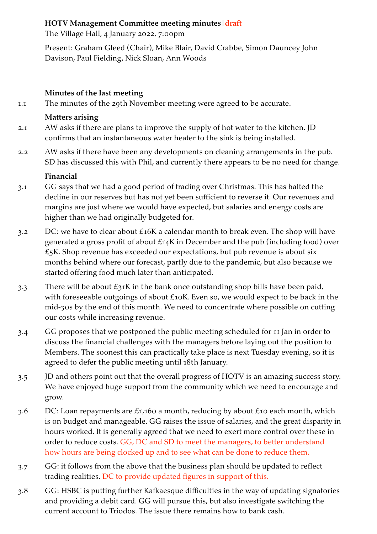### **HOTV Management Committee meeting minutes|draft**

The Village Hall, 4 January 2022, 7:00pm

Present: Graham Gleed (Chair), Mike Blair, David Crabbe, Simon Dauncey John Davison, Paul Fielding, Nick Sloan, Ann Woods

### **Minutes of the last meeting**

1.1 The minutes of the 29th November meeting were agreed to be accurate.

### **Matters arising**

- 2.1 AW asks if there are plans to improve the supply of hot water to the kitchen. JD confirms that an instantaneous water heater to the sink is being installed.
- 2.2 AW asks if there have been any developments on cleaning arrangements in the pub. SD has discussed this with Phil, and currently there appears to be no need for change.

### **Financial**

- 3.1 GG says that we had a good period of trading over Christmas. This has halted the decline in our reserves but has not yet been sufficient to reverse it. Our revenues and margins are just where we would have expected, but salaries and energy costs are higher than we had originally budgeted for.
- 3.2 DC: we have to clear about £16K a calendar month to break even. The shop will have generated a gross profit of about £14K in December and the pub (including food) over  $£5K.$  Shop revenue has exceeded our expectations, but pub revenue is about six months behind where our forecast, partly due to the pandemic, but also because we started offering food much later than anticipated.
- 3.3 There will be about  $\mathcal{L}_3$ 1K in the bank once outstanding shop bills have been paid, with foreseeable outgoings of about £10K. Even so, we would expect to be back in the mid-30s by the end of this month. We need to concentrate where possible on cutting our costs while increasing revenue.
- 3.4 GG proposes that we postponed the public meeting scheduled for 11 Jan in order to discuss the financial challenges with the managers before laying out the position to Members. The soonest this can practically take place is next Tuesday evening, so it is agreed to defer the public meeting until 18th January.
- 3.5 JD and others point out that the overall progress of HOTV is an amazing success story. We have enjoyed huge support from the community which we need to encourage and grow.
- 3.6 DC: Loan repayments are £1,160 a month, reducing by about £10 each month, which is on budget and manageable. GG raises the issue of salaries, and the great disparity in hours worked. It is generally agreed that we need to exert more control over these in order to reduce costs. GG, DC and SD to meet the managers, to better understand how hours are being clocked up and to see what can be done to reduce them.
- 3.7 GG: it follows from the above that the business plan should be updated to reflect trading realities. DC to provide updated figures in support of this.
- 3.8 GG: HSBC is putting further Kafkaesque difficulties in the way of updating signatories and providing a debit card. GG will pursue this, but also investigate switching the current account to Triodos. The issue there remains how to bank cash.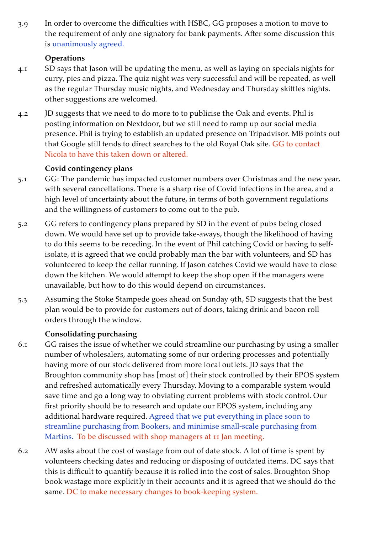3.9 In order to overcome the difficulties with HSBC, GG proposes a motion to move to the requirement of only one signatory for bank payments. After some discussion this is unanimously agreed.

### **Operations**

- 4.1 SD says that Jason will be updating the menu, as well as laying on specials nights for curry, pies and pizza. The quiz night was very successful and will be repeated, as well as the regular Thursday music nights, and Wednesday and Thursday skittles nights. other suggestions are welcomed.
- 4.2 JD suggests that we need to do more to to publicise the Oak and events. Phil is posting information on Nextdoor, but we still need to ramp up our social media presence. Phil is trying to establish an updated presence on Tripadvisor. MB points out that Google still tends to direct searches to the old Royal Oak site. GG to contact Nicola to have this taken down or altered.

### **Covid contingency plans**

- 5.1 GG: The pandemic has impacted customer numbers over Christmas and the new year, with several cancellations. There is a sharp rise of Covid infections in the area, and a high level of uncertainty about the future, in terms of both government regulations and the willingness of customers to come out to the pub.
- 5.2 GG refers to contingency plans prepared by SD in the event of pubs being closed down. We would have set up to provide take-aways, though the likelihood of having to do this seems to be receding. In the event of Phil catching Covid or having to selfisolate, it is agreed that we could probably man the bar with volunteers, and SD has volunteered to keep the cellar running. If Jason catches Covid we would have to close down the kitchen. We would attempt to keep the shop open if the managers were unavailable, but how to do this would depend on circumstances.
- 5.3 Assuming the Stoke Stampede goes ahead on Sunday 9th, SD suggests that the best plan would be to provide for customers out of doors, taking drink and bacon roll orders through the window.

# **Consolidating purchasing**

- 6.1 GG raises the issue of whether we could streamline our purchasing by using a smaller number of wholesalers, automating some of our ordering processes and potentially having more of our stock delivered from more local outlets. JD says that the Broughton community shop has [most of] their stock controlled by their EPOS system and refreshed automatically every Thursday. Moving to a comparable system would save time and go a long way to obviating current problems with stock control. Our first priority should be to research and update our EPOS system, including any additional hardware required. Agreed that we put everything in place soon to streamline purchasing from Bookers, and minimise small-scale purchasing from Martins. To be discussed with shop managers at 11 Jan meeting.
- 6.2 AW asks about the cost of wastage from out of date stock. A lot of time is spent by volunteers checking dates and reducing or disposing of outdated items. DC says that this is difficult to quantify because it is rolled into the cost of sales. Broughton Shop book wastage more explicitly in their accounts and it is agreed that we should do the same. DC to make necessary changes to book-keeping system.